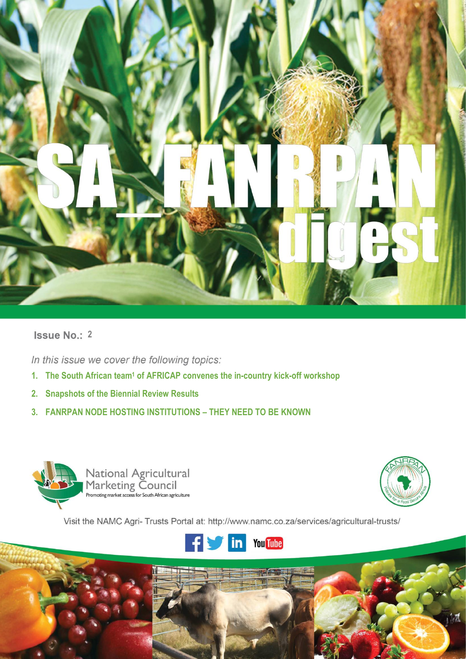

# **Issue No.: 2**

In this issue we cover the following topics:

- **1. The South African team<sup>1</sup> of AFRICAP convenes the in-country kick-off workshop**
- **2. Snapshots of the Biennial Review Results**
- **3. FANRPAN NODE HOSTING INSTITUTIONS – THEY NEED TO BE KNOWN**



**i |** P a g e



Visit the NAMC Agri- Trusts Portal at: http://www.namc.co.za/services/agricultural-trusts/

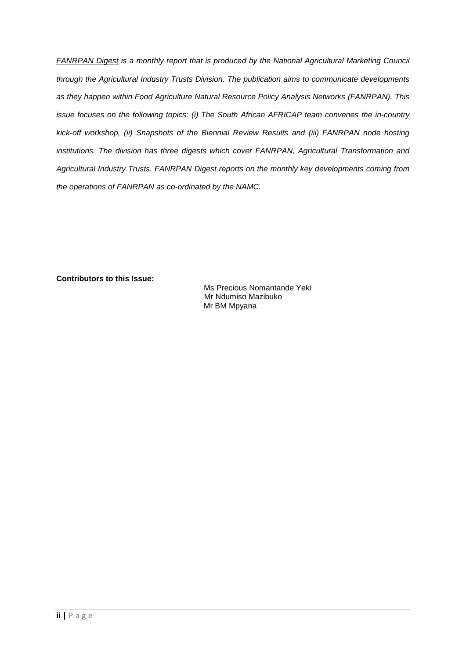*FANRPAN Digest is a monthly report that is produced by the National Agricultural Marketing Council through the Agricultural Industry Trusts Division. The publication aims to communicate developments as they happen within Food Agriculture Natural Resource Policy Analysis Networks (FANRPAN). This issue focuses on the following topics: (i) The South African AFRICAP team convenes the in-country kick-off workshop, (ii) Snapshots of the Biennial Review Results and (iii) FANRPAN node hosting institutions. The division has three digests which cover FANRPAN, Agricultural Transformation and Agricultural Industry Trusts. FANRPAN Digest reports on the monthly key developments coming from the operations of FANRPAN as co-ordinated by the NAMC.*

**Contributors to this Issue:**

Ms Precious Nomantande Yeki Mr Ndumiso Mazibuko Mr BM Mpyana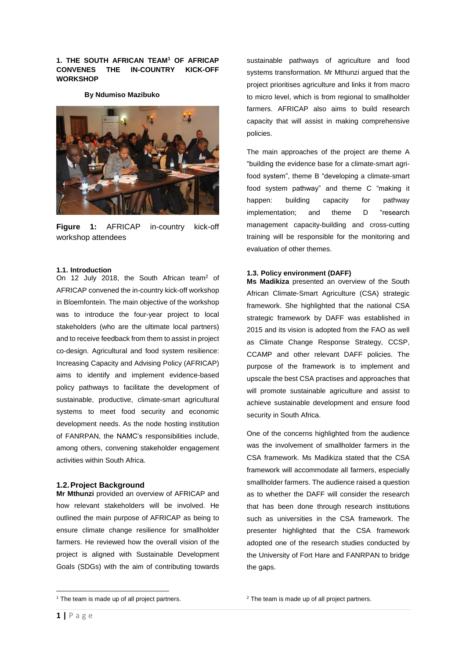### **1. THE SOUTH AFRICAN TEAM<sup>1</sup> OF AFRICAP CONVENES THE IN-COUNTRY KICK-OFF WORKSHOP**

**By Ndumiso Mazibuko**



**Figure 1:** AFRICAP in-country kick-off workshop attendees

#### **1.1. Introduction**

On 12 July 2018, the South African team<sup>2</sup> of AFRICAP convened the in-country kick-off workshop in Bloemfontein. The main objective of the workshop was to introduce the four-year project to local stakeholders (who are the ultimate local partners) and to receive feedback from them to assist in project co-design. Agricultural and food system resilience: Increasing Capacity and Advising Policy (AFRICAP) aims to identify and implement evidence-based policy pathways to facilitate the development of sustainable, productive, climate-smart agricultural systems to meet food security and economic development needs. As the node hosting institution of FANRPAN, the NAMC's responsibilities include, among others, convening stakeholder engagement activities within South Africa.

#### **1.2.Project Background**

**Mr Mthunzi** provided an overview of AFRICAP and how relevant stakeholders will be involved. He outlined the main purpose of AFRICAP as being to ensure climate change resilience for smallholder farmers. He reviewed how the overall vision of the project is aligned with Sustainable Development Goals (SDGs) with the aim of contributing towards

sustainable pathways of agriculture and food systems transformation. Mr Mthunzi argued that the project prioritises agriculture and links it from macro to micro level, which is from regional to smallholder farmers. AFRICAP also aims to build research capacity that will assist in making comprehensive policies.

The main approaches of the project are theme A "building the evidence base for a climate-smart agrifood system", theme B "developing a climate-smart food system pathway" and theme C "making it happen: building capacity for pathway implementation; and theme D "research management capacity-building and cross-cutting training will be responsible for the monitoring and evaluation of other themes.

#### **1.3. Policy environment (DAFF)**

**Ms Madikiza** presented an overview of the South African Climate-Smart Agriculture (CSA) strategic framework. She highlighted that the national CSA strategic framework by DAFF was established in 2015 and its vision is adopted from the FAO as well as Climate Change Response Strategy, CCSP, CCAMP and other relevant DAFF policies. The purpose of the framework is to implement and upscale the best CSA practises and approaches that will promote sustainable agriculture and assist to achieve sustainable development and ensure food security in South Africa.

One of the concerns highlighted from the audience was the involvement of smallholder farmers in the CSA framework. Ms Madikiza stated that the CSA framework will accommodate all farmers, especially smallholder farmers. The audience raised a question as to whether the DAFF will consider the research that has been done through research institutions such as universities in the CSA framework. The presenter highlighted that the CSA framework adopted one of the research studies conducted by the University of Fort Hare and FANRPAN to bridge the gaps.

**<sup>.</sup>** <sup>1</sup> The team is made up of all project partners.

<sup>&</sup>lt;sup>2</sup> The team is made up of all project partners.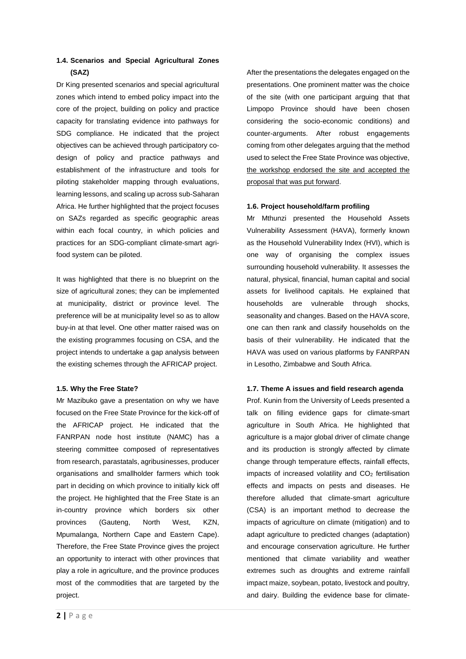# **1.4. Scenarios and Special Agricultural Zones (SAZ)**

Dr King presented scenarios and special agricultural zones which intend to embed policy impact into the core of the project, building on policy and practice capacity for translating evidence into pathways for SDG compliance. He indicated that the project objectives can be achieved through participatory codesign of policy and practice pathways and establishment of the infrastructure and tools for piloting stakeholder mapping through evaluations, learning lessons, and scaling up across sub-Saharan Africa. He further highlighted that the project focuses on SAZs regarded as specific geographic areas within each focal country, in which policies and practices for an SDG-compliant climate-smart agrifood system can be piloted.

It was highlighted that there is no blueprint on the size of agricultural zones; they can be implemented at municipality, district or province level. The preference will be at municipality level so as to allow buy-in at that level. One other matter raised was on the existing programmes focusing on CSA, and the project intends to undertake a gap analysis between the existing schemes through the AFRICAP project.

#### **1.5. Why the Free State?**

Mr Mazibuko gave a presentation on why we have focused on the Free State Province for the kick-off of the AFRICAP project. He indicated that the FANRPAN node host institute (NAMC) has a steering committee composed of representatives from research, parastatals, agribusinesses, producer organisations and smallholder farmers which took part in deciding on which province to initially kick off the project. He highlighted that the Free State is an in-country province which borders six other provinces (Gauteng, North West, KZN, Mpumalanga, Northern Cape and Eastern Cape). Therefore, the Free State Province gives the project an opportunity to interact with other provinces that play a role in agriculture, and the province produces most of the commodities that are targeted by the project.

After the presentations the delegates engaged on the presentations. One prominent matter was the choice of the site (with one participant arguing that that Limpopo Province should have been chosen considering the socio-economic conditions) and counter-arguments. After robust engagements coming from other delegates arguing that the method used to select the Free State Province was objective, the workshop endorsed the site and accepted the proposal that was put forward.

### **1.6. Project household/farm profiling**

Mr Mthunzi presented the Household Assets Vulnerability Assessment (HAVA), formerly known as the Household Vulnerability Index (HVI), which is one way of organising the complex issues surrounding household vulnerability. It assesses the natural, physical, financial, human capital and social assets for livelihood capitals. He explained that households are vulnerable through shocks, seasonality and changes. Based on the HAVA score, one can then rank and classify households on the basis of their vulnerability. He indicated that the HAVA was used on various platforms by FANRPAN in Lesotho, Zimbabwe and South Africa.

## **1.7. Theme A issues and field research agenda**

Prof. Kunin from the University of Leeds presented a talk on filling evidence gaps for climate-smart agriculture in South Africa. He highlighted that agriculture is a major global driver of climate change and its production is strongly affected by climate change through temperature effects, rainfall effects, impacts of increased volatility and CO<sub>2</sub> fertilisation effects and impacts on pests and diseases. He therefore alluded that climate-smart agriculture (CSA) is an important method to decrease the impacts of agriculture on climate (mitigation) and to adapt agriculture to predicted changes (adaptation) and encourage conservation agriculture. He further mentioned that climate variability and weather extremes such as droughts and extreme rainfall impact maize, soybean, potato, livestock and poultry, and dairy. Building the evidence base for climate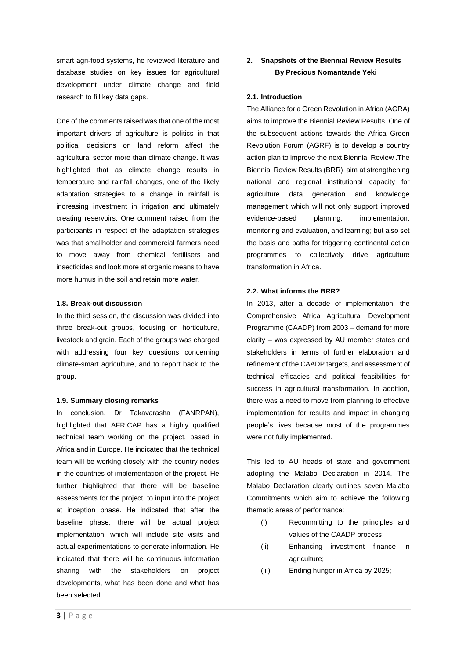smart agri-food systems, he reviewed literature and database studies on key issues for agricultural development under climate change and field research to fill key data gaps.

One of the comments raised was that one of the most important drivers of agriculture is politics in that political decisions on land reform affect the agricultural sector more than climate change. It was highlighted that as climate change results in temperature and rainfall changes, one of the likely adaptation strategies to a change in rainfall is increasing investment in irrigation and ultimately creating reservoirs. One comment raised from the participants in respect of the adaptation strategies was that smallholder and commercial farmers need to move away from chemical fertilisers and insecticides and look more at organic means to have more humus in the soil and retain more water.

#### **1.8. Break-out discussion**

In the third session, the discussion was divided into three break-out groups, focusing on horticulture, livestock and grain. Each of the groups was charged with addressing four key questions concerning climate-smart agriculture, and to report back to the group.

#### **1.9. Summary closing remarks**

In conclusion, Dr Takavarasha (FANRPAN), highlighted that AFRICAP has a highly qualified technical team working on the project, based in Africa and in Europe. He indicated that the technical team will be working closely with the country nodes in the countries of implementation of the project. He further highlighted that there will be baseline assessments for the project, to input into the project at inception phase. He indicated that after the baseline phase, there will be actual project implementation, which will include site visits and actual experimentations to generate information. He indicated that there will be continuous information sharing with the stakeholders on project developments, what has been done and what has been selected

# **2. Snapshots of the Biennial Review Results By Precious Nomantande Yeki**

#### **2.1. Introduction**

The Alliance for a Green Revolution in Africa (AGRA) aims to improve the Biennial Review Results. One of the subsequent actions towards the Africa Green Revolution Forum (AGRF) is to develop a country action plan to improve the next Biennial Review .The Biennial Review Results (BRR) aim at strengthening national and regional institutional capacity for agriculture data generation and knowledge management which will not only support improved evidence-based planning, implementation, monitoring and evaluation, and learning; but also set the basis and paths for triggering continental action programmes to collectively drive agriculture transformation in Africa.

#### **2.2. What informs the BRR?**

In 2013, after a decade of implementation, the Comprehensive Africa Agricultural Development Programme (CAADP) from 2003 – demand for more clarity – was expressed by AU member states and stakeholders in terms of further elaboration and refinement of the CAADP targets, and assessment of technical efficacies and political feasibilities for success in agricultural transformation. In addition, there was a need to move from planning to effective implementation for results and impact in changing people's lives because most of the programmes were not fully implemented.

This led to AU heads of state and government adopting the Malabo Declaration in 2014. The Malabo Declaration clearly outlines seven Malabo Commitments which aim to achieve the following thematic areas of performance:

- (i) Recommitting to the principles and values of the CAADP process;
- (ii) Enhancing investment finance in agriculture;
- (iii) Ending hunger in Africa by 2025;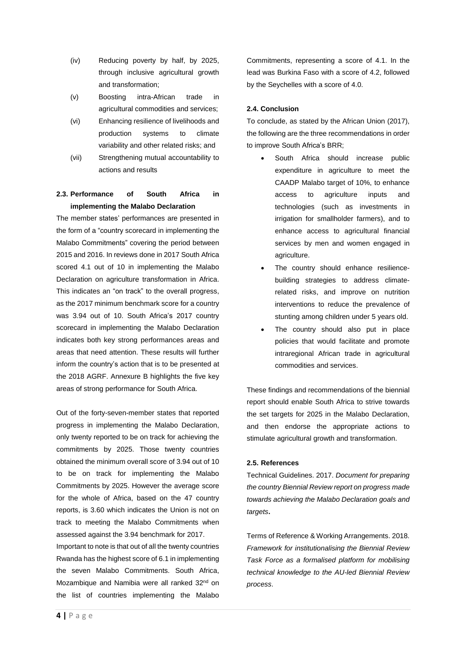- (iv) Reducing poverty by half, by 2025, through inclusive agricultural growth and transformation;
- (v) Boosting intra-African trade in agricultural commodities and services;
- (vi) Enhancing resilience of livelihoods and production systems to climate variability and other related risks; and
- (vii) Strengthening mutual accountability to actions and results

# **2.3. Performance of South Africa in implementing the Malabo Declaration**

The member states' performances are presented in the form of a "country scorecard in implementing the Malabo Commitments" covering the period between 2015 and 2016. In reviews done in 2017 South Africa scored 4.1 out of 10 in implementing the Malabo Declaration on agriculture transformation in Africa. This indicates an "on track" to the overall progress, as the 2017 minimum benchmark score for a country was 3.94 out of 10. South Africa's 2017 country scorecard in implementing the Malabo Declaration indicates both key strong performances areas and areas that need attention. These results will further inform the country's action that is to be presented at the 2018 AGRF. Annexure B highlights the five key areas of strong performance for South Africa.

Out of the forty-seven-member states that reported progress in implementing the Malabo Declaration, only twenty reported to be on track for achieving the commitments by 2025. Those twenty countries obtained the minimum overall score of 3.94 out of 10 to be on track for implementing the Malabo Commitments by 2025. However the average score for the whole of Africa, based on the 47 country reports, is 3.60 which indicates the Union is not on track to meeting the Malabo Commitments when assessed against the 3.94 benchmark for 2017.

Important to note is that out of all the twenty countries Rwanda has the highest score of 6.1 in implementing the seven Malabo Commitments. South Africa, Mozambique and Namibia were all ranked 32<sup>nd</sup> on the list of countries implementing the Malabo

Commitments, representing a score of 4.1. In the lead was Burkina Faso with a score of 4.2, followed by the Seychelles with a score of 4.0.

## **2.4. Conclusion**

To conclude, as stated by the African Union (2017), the following are the three recommendations in order to improve South Africa's BRR;

- South Africa should increase public expenditure in agriculture to meet the CAADP Malabo target of 10%, to enhance access to agriculture inputs and technologies (such as investments in irrigation for smallholder farmers), and to enhance access to agricultural financial services by men and women engaged in agriculture.
- The country should enhance resiliencebuilding strategies to address climaterelated risks, and improve on nutrition interventions to reduce the prevalence of stunting among children under 5 years old.
- The country should also put in place policies that would facilitate and promote intraregional African trade in agricultural commodities and services.

These findings and recommendations of the biennial report should enable South Africa to strive towards the set targets for 2025 in the Malabo Declaration, and then endorse the appropriate actions to stimulate agricultural growth and transformation.

#### **2.5. References**

Technical Guidelines. 2017. *Document for preparing the country Biennial Review report on progress made towards achieving the Malabo Declaration goals and targets***.**

Terms of Reference & Working Arrangements. 2018. *Framework for institutionalising the Biennial Review Task Force as a formalised platform for mobilising technical knowledge to the AU-led Biennial Review process*.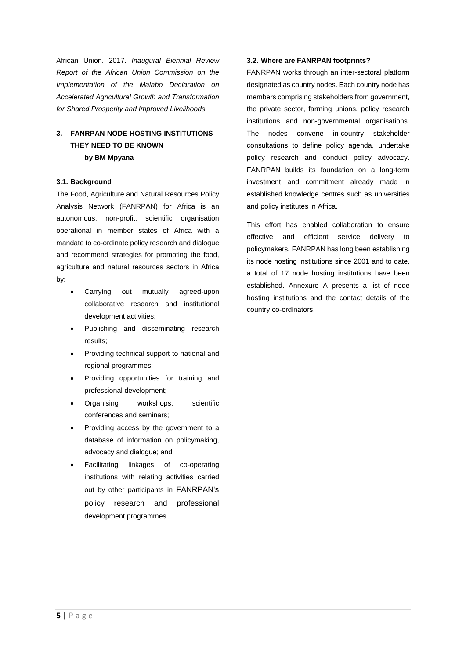African Union. 2017. *Inaugural Biennial Review Report of the African Union Commission on the Implementation of the Malabo Declaration on Accelerated Agricultural Growth and Transformation for Shared Prosperity and Improved Livelihoods.*

# **3. FANRPAN NODE HOSTING INSTITUTIONS – THEY NEED TO BE KNOWN by BM Mpyana**

#### **3.1. Background**

The Food, Agriculture and Natural Resources Policy Analysis Network (FANRPAN) for Africa is an autonomous, non-profit, scientific organisation operational in member states of Africa with a mandate to co-ordinate policy research and dialogue and recommend strategies for promoting the food, agriculture and natural resources sectors in Africa by:

- Carrying out mutually agreed-upon collaborative research and institutional development activities;
- Publishing and disseminating research results;
- Providing technical support to national and regional programmes;
- Providing opportunities for training and professional development;
- Organising workshops, scientific conferences and seminars;
- Providing access by the government to a database of information on policymaking, advocacy and dialogue; and
- Facilitating linkages of co-operating institutions with relating activities carried out by other participants in FANRPAN's policy research and professional development programmes.

#### **3.2. Where are FANRPAN footprints?**

FANRPAN works through an inter-sectoral platform designated as country nodes. Each country node has members comprising stakeholders from government, the private sector, farming unions, policy research institutions and non-governmental organisations. The nodes convene in-country stakeholder consultations to define policy agenda, undertake policy research and conduct policy advocacy. FANRPAN builds its foundation on a long-term investment and commitment already made in established knowledge centres such as universities and policy institutes in Africa.

This effort has enabled collaboration to ensure effective and efficient service delivery to policymakers. FANRPAN has long been establishing its node hosting institutions since 2001 and to date, a total of 17 node hosting institutions have been established. Annexure A presents a list of node hosting institutions and the contact details of the country co-ordinators.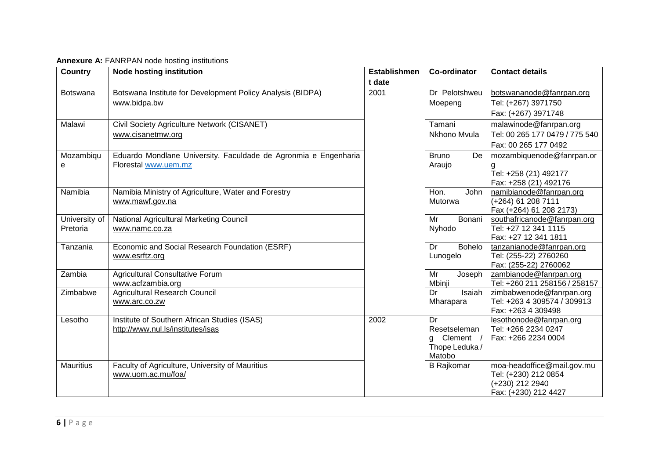| <b>Country</b>   | <b>Node hosting institution</b>                                        | <b>Establishmen</b> | <b>Co-ordinator</b>                          | <b>Contact details</b>                                  |  |  |  |
|------------------|------------------------------------------------------------------------|---------------------|----------------------------------------------|---------------------------------------------------------|--|--|--|
|                  |                                                                        | t date              |                                              |                                                         |  |  |  |
| Botswana         | Botswana Institute for Development Policy Analysis (BIDPA)             | 2001                | Dr Pelotshweu                                | botswananode@fanrpan.org                                |  |  |  |
|                  | www.bidpa.bw                                                           |                     | Moepeng                                      | Tel: (+267) 3971750                                     |  |  |  |
|                  |                                                                        |                     |                                              | Fax: (+267) 3971748                                     |  |  |  |
| Malawi           | Civil Society Agriculture Network (CISANET)                            |                     | Tamani                                       | malawinode@fanrpan.org                                  |  |  |  |
|                  | www.cisanetmw.org                                                      |                     | Nkhono Mvula                                 | Tel: 00 265 177 0479 / 775 540                          |  |  |  |
|                  |                                                                        |                     |                                              | Fax: 00 265 177 0492                                    |  |  |  |
| Mozambiqu        | Eduardo Mondlane University. Faculdade de Agronmia e Engenharia        |                     | <b>Bruno</b><br>De                           | mozambiquenode@fanrpan.or                               |  |  |  |
| e                | Florestal www.uem.mz                                                   |                     | Araujo                                       | g                                                       |  |  |  |
|                  |                                                                        |                     |                                              | Tel: +258 (21) 492177                                   |  |  |  |
|                  |                                                                        |                     |                                              | Fax: +258 (21) 492176                                   |  |  |  |
| Namibia          | Namibia Ministry of Agriculture, Water and Forestry<br>www.mawf.gov.na |                     | Hon.<br><b>John</b><br>Mutorwa               | namibianode@fanrpan.org<br>(+264) 61 208 7111           |  |  |  |
|                  |                                                                        |                     |                                              | Fax (+264) 61 208 2173)                                 |  |  |  |
| University of    | National Agricultural Marketing Council                                |                     | Mr<br>Bonani                                 | southafricanode@fanrpan.org                             |  |  |  |
| Pretoria         | www.namc.co.za                                                         |                     | Nyhodo                                       | Tel: +27 12 341 1115                                    |  |  |  |
|                  |                                                                        |                     |                                              | Fax: +27 12 341 1811                                    |  |  |  |
| Tanzania         | Economic and Social Research Foundation (ESRF)                         |                     | Dr<br>Bohelo                                 | tanzanianode@fanrpan.org                                |  |  |  |
|                  | www.esrftz.org                                                         |                     | Lunogelo                                     | Tel: (255-22) 2760260                                   |  |  |  |
|                  |                                                                        |                     |                                              | Fax: (255-22) 2760062                                   |  |  |  |
| Zambia           | Agricultural Consultative Forum                                        |                     | $\overline{\mathsf{Mr}}$<br>Joseph<br>Mbinji | zambianode@fanrpan.org<br>Tel: +260 211 258156 / 258157 |  |  |  |
| Zimbabwe         | www.acfzambia.org<br><b>Agricultural Research Council</b>              |                     | Isaiah<br>Dr                                 | zimbabwenode@fanrpan.org                                |  |  |  |
|                  | www.arc.co.zw                                                          |                     | Mharapara                                    | Tel: +263 4 309574 / 309913                             |  |  |  |
|                  |                                                                        |                     |                                              | Fax: +263 4 309498                                      |  |  |  |
| Lesotho          | Institute of Southern African Studies (ISAS)                           | 2002                | Dr                                           | lesothonode@fanrpan.org                                 |  |  |  |
|                  | http://www.nul.ls/institutes/isas                                      |                     | Resetseleman                                 | Tel: +266 2234 0247                                     |  |  |  |
|                  |                                                                        |                     | g Clement /                                  | Fax: +266 2234 0004                                     |  |  |  |
|                  |                                                                        |                     | Thope Leduka/                                |                                                         |  |  |  |
|                  |                                                                        |                     | Matobo                                       |                                                         |  |  |  |
| <b>Mauritius</b> | Faculty of Agriculture, University of Mauritius                        |                     | <b>B</b> Rajkomar                            | moa-headoffice@mail.gov.mu                              |  |  |  |
|                  | www.uom.ac.mu/foa/                                                     |                     |                                              | Tel: (+230) 212 0854<br>(+230) 212 2940                 |  |  |  |
|                  |                                                                        |                     |                                              | Fax: (+230) 212 4427                                    |  |  |  |
|                  |                                                                        |                     |                                              |                                                         |  |  |  |

**Annexure A:** FANRPAN node hosting institutions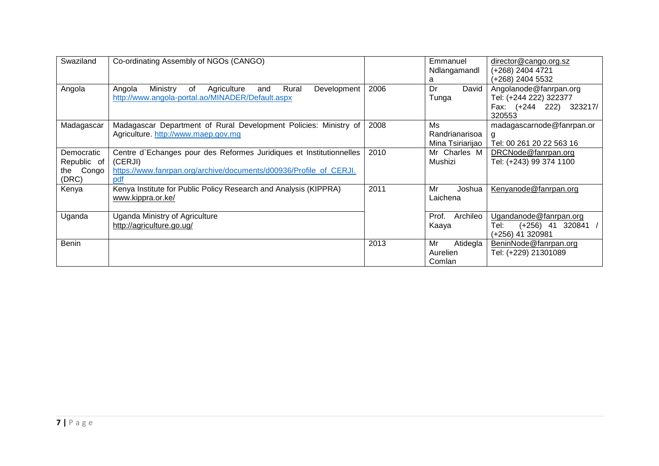| Swaziland                                          | Co-ordinating Assembly of NGOs (CANGO)                                                                                                                      |      | Emmanuel<br>Ndlangamandl                 | director@cango.org.sz<br>(+268) 2404 4721                                             |
|----------------------------------------------------|-------------------------------------------------------------------------------------------------------------------------------------------------------------|------|------------------------------------------|---------------------------------------------------------------------------------------|
|                                                    |                                                                                                                                                             |      | a                                        | (+268) 2404 5532                                                                      |
| Angola                                             | Rural<br>Ministry<br>Development<br>Angola<br>of<br>Agriculture<br>and<br>http://www.angola-portal.ao/MINADER/Default.aspx                                  | 2006 | David<br>Dr<br>Tunga                     | Angolanode@fanrpan.org<br>Tel: (+244 222) 322377<br>Fax: (+244 222) 323217/<br>320553 |
| Madagascar                                         | Madagascar Department of Rural Development Policies: Ministry of<br>Agriculture. http://www.maep.gov.mg                                                     | 2008 | Ms<br>Randrianarisoa<br>Mina Tsiriarijao | madagascarnode@fanrpan.or<br>Tel: 00 261 20 22 563 16                                 |
| Democratic<br>Republic of<br>Congo<br>the<br>(DRC) | Centre d'Echanges pour des Reformes Juridiques et Institutionnelles<br>(CERJI)<br>https://www.fanrpan.org/archive/documents/d00936/Profile_of_CERJI.<br>pdf | 2010 | Mr Charles M<br>Mushizi                  | DRCNode@fanrpan.org<br>Tel: (+243) 99 374 1100                                        |
| Kenya                                              | Kenya Institute for Public Policy Research and Analysis (KIPPRA)<br>www.kippra.or.ke/                                                                       | 2011 | Mr<br>Joshua<br>Laichena                 | Kenyanode@fanrpan.org                                                                 |
| Uganda                                             | Uganda Ministry of Agriculture<br>http://agriculture.go.ug/                                                                                                 |      | Archileo<br>Prof.<br>Kaaya               | Ugandanode@fanrpan.org<br>Tel:<br>$(+256)$ 41 320841 /<br>(+256) 41 320981            |
| <b>Benin</b>                                       |                                                                                                                                                             | 2013 | Mr<br>Atidegla<br>Aurelien<br>Comlan     | BeninNode@fanrpan.org<br>Tel: (+229) 21301089                                         |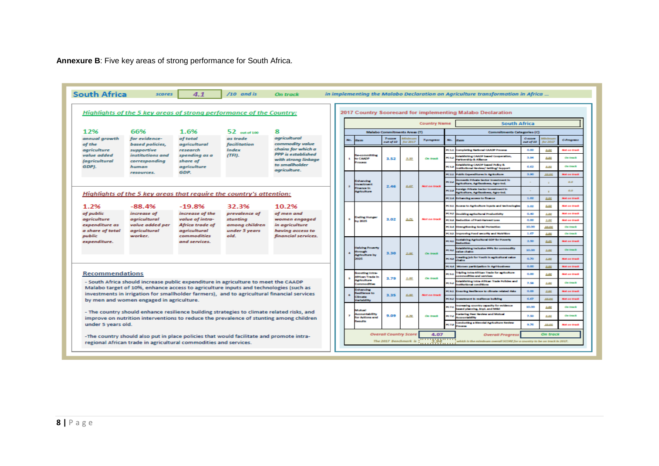**Annexure B**: Five key areas of strong performance for South Africa.

|                                                                                                                                                                                                                                                                                                    | Highlights of the 5 key areas of strong performance of the Country:                                                                                                                                                                               |                                                                                         |               |                                                                            |   |                                                       |                                                                                         |                                          |                             |                                             |                                                                            | 2017 Country Scorecard for implementing Malabo Declaration                                          |              |                     |                     |  |  |
|----------------------------------------------------------------------------------------------------------------------------------------------------------------------------------------------------------------------------------------------------------------------------------------------------|---------------------------------------------------------------------------------------------------------------------------------------------------------------------------------------------------------------------------------------------------|-----------------------------------------------------------------------------------------|---------------|----------------------------------------------------------------------------|---|-------------------------------------------------------|-----------------------------------------------------------------------------------------|------------------------------------------|-----------------------------|---------------------------------------------|----------------------------------------------------------------------------|-----------------------------------------------------------------------------------------------------|--------------|---------------------|---------------------|--|--|
|                                                                                                                                                                                                                                                                                                    |                                                                                                                                                                                                                                                   |                                                                                         |               |                                                                            |   |                                                       | <b>Country Name</b>                                                                     |                                          |                             |                                             |                                                                            |                                                                                                     |              | <b>South Africa</b> |                     |  |  |
| 12%                                                                                                                                                                                                                                                                                                | 66%                                                                                                                                                                                                                                               | 1.6%                                                                                    | $52$ $m$ $m$  | 8                                                                          |   | <b>Malabo Commitments Areas (T)</b>                   |                                                                                         |                                          |                             |                                             |                                                                            | Commitments Categories (C)                                                                          |              |                     |                     |  |  |
| annual arowth<br>of the                                                                                                                                                                                                                                                                            | for evidence-<br>based policies,                                                                                                                                                                                                                  | agricultural<br>of total<br>as trade<br>commodity value<br>agricultural<br>facilitation |               | T-score<br>No.<br><b>Mem</b><br><b>T-progress</b><br>out of 10<br>for 2017 |   |                                                       | No.                                                                                     | <b>Mem</b>                               | <b>C-score</b><br>out of 10 | for 201                                     | <b>C-Program</b>                                                           |                                                                                                     |              |                     |                     |  |  |
| agriculture                                                                                                                                                                                                                                                                                        | supportive                                                                                                                                                                                                                                        | chains for which a<br>research<br>Index                                                 |               |                                                                            |   |                                                       | <b>CLI</b>                                                                              | <b>Completing National CAADP Process</b> | 0.00                        | 2,22                                        | Vot on track                                                               |                                                                                                     |              |                     |                     |  |  |
| value added                                                                                                                                                                                                                                                                                        | institutions and                                                                                                                                                                                                                                  | spending as a                                                                           | (TFI).        | <b>PPP</b> is established<br>with strong linkage                           |   | $\overline{\mathbf{1}}$                               | committing<br>to CAADP<br>100908<br><b>Inhancing</b><br><b>westment</b>                 | 3.52<br>2.46                             | 3,30                        | On track<br>Not on track                    | PC 1.2                                                                     | stabilishing CAADP based Cooperation,<br><b>Safe Address St. All Banco</b>                          | 3.94         | 2,22                | On truck            |  |  |
| <i>(agricultural</i><br>GDP).                                                                                                                                                                                                                                                                      | corresponding<br>human                                                                                                                                                                                                                            | share of<br>agriculture                                                                 |               | to smallholder<br>agriculture.                                             |   |                                                       |                                                                                         |                                          |                             |                                             | PC L.R                                                                     | stabilishing CAADP based Policy &<br>institutional fewlow/ Setting/ Support                         | 6.62         | 3.32                | On truck            |  |  |
|                                                                                                                                                                                                                                                                                                    | <i>resources</i>                                                                                                                                                                                                                                  | GDP.                                                                                    |               |                                                                            |   |                                                       |                                                                                         |                                          |                             |                                             |                                                                            | PC2.1 Public Expenditures in Authorizate                                                            | 3,90         | 10.00               | Not on truck        |  |  |
|                                                                                                                                                                                                                                                                                                    |                                                                                                                                                                                                                                                   |                                                                                         |               |                                                                            |   |                                                       |                                                                                         |                                          | 6.67                        |                                             | PC22                                                                       | mentic Private Sector Investment in<br>Antoilture, Anthoniseus, Apro-Ind.                           |              |                     | 0.0                 |  |  |
| Highlights of the 5 key areas that require the country's attention:                                                                                                                                                                                                                                |                                                                                                                                                                                                                                                   |                                                                                         |               |                                                                            |   | Insuran In<br><b><i><u><b>Agriculture</b></u></i></b> |                                                                                         |                                          |                             | PC 2.3                                      | Foreign Private Sector Investment in<br>Antoilture, Anthoniseus, Agro-Ind. |                                                                                                     |              | 0.0                 |                     |  |  |
|                                                                                                                                                                                                                                                                                                    |                                                                                                                                                                                                                                                   |                                                                                         |               |                                                                            |   |                                                       |                                                                                         |                                          |                             |                                             | PC 2.4                                                                     | <b>Enhancing access to finance</b>                                                                  | 1.02         | 2.22                | Vot on truck        |  |  |
| 1.2%                                                                                                                                                                                                                                                                                               | $-88.4%$<br>$-19.8%$<br>32.3%<br>10.2%<br>increase of the<br>increase of<br>prevalence of<br>of men and<br>agricultural<br>value of intra-<br>stunting<br>women engaged<br>value added per<br>Africa trade of<br>among children<br>in agriculture |                                                                                         |               |                                                                            |   |                                                       |                                                                                         |                                          | PCR1                        | Access to Apriculture inputs and technologi | 3.02                                                                       | 5.52                                                                                                | Not on track |                     |                     |  |  |
| of public                                                                                                                                                                                                                                                                                          |                                                                                                                                                                                                                                                   |                                                                                         |               |                                                                            |   |                                                       | nding Hunger                                                                            | 3.02                                     |                             | Not on track                                | <b>PCR2</b>                                                                | <b>Doubling agricultural Productivity</b>                                                           | 0.40         | 1.00                | Not on track        |  |  |
| agriculture<br>expenditure as                                                                                                                                                                                                                                                                      |                                                                                                                                                                                                                                                   |                                                                                         |               |                                                                            |   | $\mathbf{r}$                                          | vy 2025                                                                                 |                                          | 2.21                        |                                             | <b>PCRA</b>                                                                | Reduction of Post-Harvest Loss                                                                      | 0.00         | 1.00                | Not on track        |  |  |
| a share of total                                                                                                                                                                                                                                                                                   | agricultural                                                                                                                                                                                                                                      | agricultural                                                                            | under 5 years | having access to                                                           |   |                                                       |                                                                                         |                                          |                             |                                             | <b>PCRA</b>                                                                | <b>trengthening Social Protection</b>                                                               | 30.00        | 10.00               | On truck            |  |  |
| public                                                                                                                                                                                                                                                                                             | worker.                                                                                                                                                                                                                                           | commodities<br>and services.                                                            | old.          | financial services.                                                        |   |                                                       | <b>Islying Powerty</b><br>nough<br><b>Amfoulture by</b><br>2025                         | 3.30                                     | 2.06                        | On track                                    | <b>PCRS</b>                                                                | mproving Food security and Nutrition<br>ustaining Agricultural GDP for Powerty                      | 1.67         | 1,00                | On truck            |  |  |
| expenditure.                                                                                                                                                                                                                                                                                       |                                                                                                                                                                                                                                                   |                                                                                         |               |                                                                            |   |                                                       |                                                                                         |                                          |                             |                                             | PC 4.1                                                                     | duction                                                                                             | 2.50         | 2.75                | <b>Not on truck</b> |  |  |
|                                                                                                                                                                                                                                                                                                    |                                                                                                                                                                                                                                                   |                                                                                         |               |                                                                            |   |                                                       |                                                                                         |                                          |                             |                                             | PC 42                                                                      | <b>Istablishing Inclusive PPPs for commodity</b><br>allow chairs                                    | 10.00        | 1.00                | <b>Cardwell</b>     |  |  |
|                                                                                                                                                                                                                                                                                                    |                                                                                                                                                                                                                                                   |                                                                                         |               |                                                                            |   |                                                       |                                                                                         |                                          |                             |                                             | <b>PC 43</b>                                                               | resting job for Youth in apricultural value                                                         | 0.70         | 1.00                | <b>Not on truck</b> |  |  |
|                                                                                                                                                                                                                                                                                                    |                                                                                                                                                                                                                                                   |                                                                                         |               |                                                                            |   |                                                       |                                                                                         |                                          |                             |                                             | <b>PC A.A</b>                                                              | Women participation in Apri-business                                                                | 0.00         | 20                  | Not on track        |  |  |
| <b>Recommendations</b><br>- South Africa should increase public expenditure in agriculture to meet the CAADP<br>Malabo target of 10%, enhance access to agriculture inputs and technologies (such as<br>investments in irrigation for smallholder farmers), and to agricultural financial services |                                                                                                                                                                                                                                                   |                                                                                         |               |                                                                            |   | $\overline{\phantom{a}}$                              | <b>osting Intra</b><br>thfican Trade in<br><b>Agriculture</b><br><b>STATION COMPANY</b> | 3.79                                     | 1.00                        | On track                                    | CS <sub>1</sub>                                                            | Tripling in the African Trade for enforcement<br>mmodities and services                             | 0.00         | تحد                 | ot on track         |  |  |
|                                                                                                                                                                                                                                                                                                    |                                                                                                                                                                                                                                                   |                                                                                         |               |                                                                            |   |                                                       |                                                                                         |                                          |                             |                                             | PCS2                                                                       | steblishing intro-African Trade Policies and<br><b><i><u>actuational</u></i></b> conditions         | 7.58         | 1.00                | On truck            |  |  |
|                                                                                                                                                                                                                                                                                                    |                                                                                                                                                                                                                                                   |                                                                                         |               |                                                                            |   | $\epsilon$                                            | inhancing<br><b>Lesilience</b> to                                                       | 3.35                                     | 6.00                        | Not on trac                                 |                                                                            | PC6.1 Ensuring Foulterce to climate related risks                                                   | 0.001        | 2.00                | Not on truck        |  |  |
| by men and women engaged in agriculture.                                                                                                                                                                                                                                                           |                                                                                                                                                                                                                                                   |                                                                                         |               |                                                                            |   | <b>Clinical</b><br>Variability                        | 1082                                                                                    |                                          |                             |                                             | matement in realisence building                                            | 6.67                                                                                                | 10.00        | Not on truck        |                     |  |  |
| - The country should enhance resilience building strategies to climate related risks, and                                                                                                                                                                                                          |                                                                                                                                                                                                                                                   |                                                                                         |               |                                                                            |   |                                                       | <b>START</b>                                                                            |                                          |                             | On track                                    | <b>PC 2.3</b>                                                              | screening country capacity for evidence<br>ased planning, kepl. and MMI                             | 30.00        | 100                 | <b>Che Emock</b>    |  |  |
| improve on nutrition interventions to reduce the prevalence of stunting among children                                                                                                                                                                                                             |                                                                                                                                                                                                                                                   |                                                                                         |               |                                                                            | × | conuntability<br>for Actions and<br><b>ASSAULTS</b>   | 9.09                                                                                    | 4.70                                     | PC 7.2                      |                                             | stering Peer Review and Mutual<br>capactability                            | 7.50                                                                                                | 3.32         | On truck            |                     |  |  |
| under 5 years old.                                                                                                                                                                                                                                                                                 |                                                                                                                                                                                                                                                   |                                                                                         |               |                                                                            |   |                                                       |                                                                                         |                                          |                             |                                             | PC 7.8                                                                     | <b>Conducting a Bionnial Agriculture Review</b><br><b>COLOR</b>                                     | 9.76         | 10.00               | Not on track        |  |  |
|                                                                                                                                                                                                                                                                                                    | -The country should also put in place policies that would facilitate and promote intra-<br>regional African trade in agricultural commodities and services.                                                                                       |                                                                                         |               |                                                                            |   |                                                       |                                                                                         | <b>Overall Country Score</b>             |                             | 4.07<br>The 2017 Benchmark is ::::::3.94    |                                                                            | <b>Overall Progress</b><br>which is the miminum owerall SCORE for a country to be on track in 2017. |              | On track            |                     |  |  |